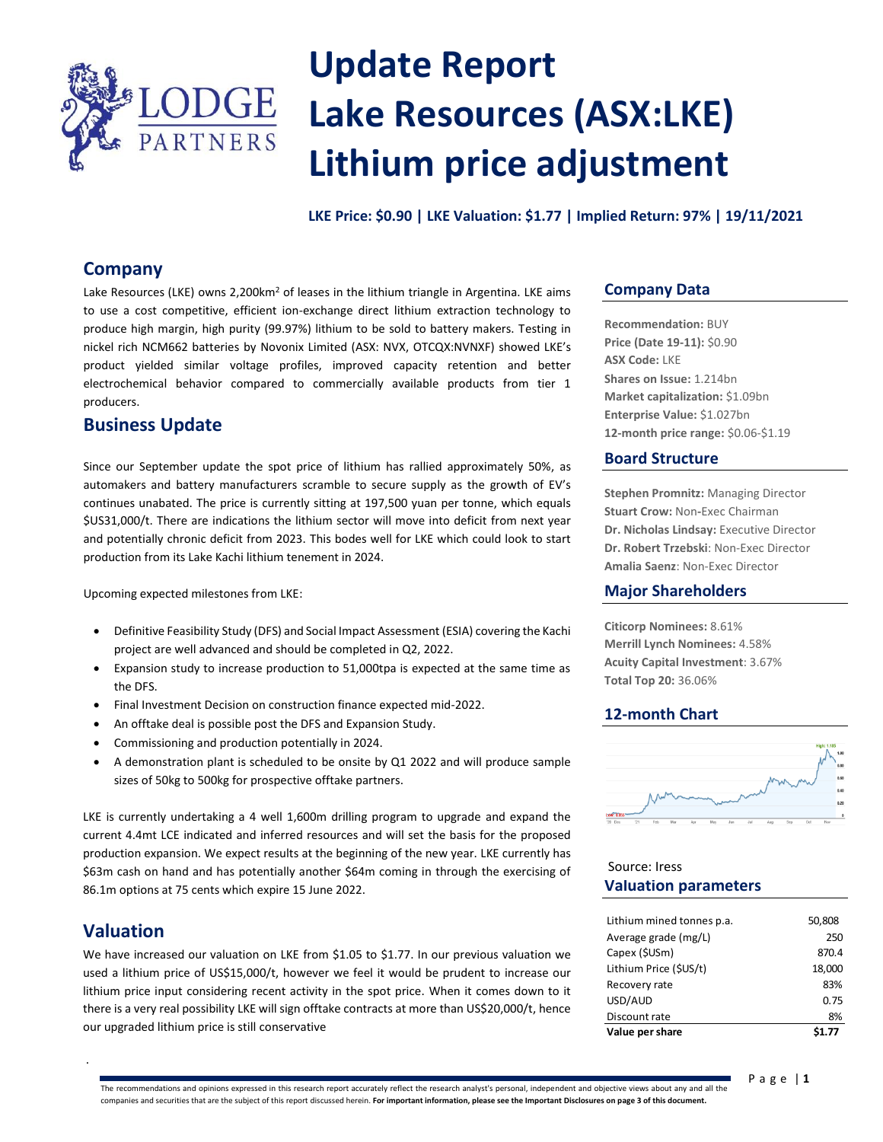

# **Update Report Lake Resources (ASX:LKE) Lithium price adjustment**

**LKE Price: \$0.90 | LKE Valuation: \$1.77 | Implied Return: 97% | 19/11/2021**

# **Company**

Lake Resources (LKE) owns 2,200km<sup>2</sup> of leases in the lithium triangle in Argentina. LKE aims to use a cost competitive, efficient ion-exchange direct lithium extraction technology to **27**produce high margin, high purity (99.97%) lithium to be sold to battery makers. Testing in nickel rich NCM662 batteries by Novonix Limited (ASX: NVX, OTCQX:NVNXF) showed LKE's product yielded similar voltage profiles, improved capacity retention and better electrochemical behavior compared to commercially available products from tier 1 producers.

# **Business Update**

Since our September update the spot price of lithium has rallied approximately 50%, as automakers and battery manufacturers scramble to secure supply as the growth of EV's continues unabated. The price is currently sitting at 197,500 yuan per tonne, which equals \$US31,000/t. There are indications the lithium sector will move into deficit from next year and potentially chronic deficit from 2023. This bodes well for LKE which could look to start production from its Lake Kachi lithium tenement in 2024.

Upcoming expected milestones from LKE:

- Definitive Feasibility Study (DFS) and Social Impact Assessment (ESIA) covering the Kachi project are well advanced and should be completed in Q2, 2022.
- Expansion study to increase production to 51,000tpa is expected at the same time as the DFS.
- Final Investment Decision on construction finance expected mid-2022.
- An offtake deal is possible post the DFS and Expansion Study.
- Commissioning and production potentially in 2024.
- A demonstration plant is scheduled to be onsite by Q1 2022 and will produce sample sizes of 50kg to 500kg for prospective offtake partners.

LKE is currently undertaking a 4 well 1,600m drilling program to upgrade and expand the current 4.4mt LCE indicated and inferred resources and will set the basis for the proposed production expansion. We expect results at the beginning of the new year. LKE currently has \$63m cash on hand and has potentially another \$64m coming in through the exercising of 86.1m options at 75 cents which expire 15 June 2022.

# **Valuation**

.

We have increased our valuation on LKE from \$1.05 to \$1.77. In our previous valuation we used a lithium price of US\$15,000/t, however we feel it would be prudent to increase our lithium price input considering recent activity in the spot price. When it comes down to it there is a very real possibility LKE will sign offtake contracts at more than US\$20,000/t, hence our upgraded lithium price is still conservative

## **Company Data**

**Recommendation:** BUY **Price (Date 19-11):** \$0.90 **ASX Code:** LKE **Shares on Issue:** 1.214bn **Market capitalization:** \$1.09bn **Enterprise Value:** \$1.027bn **12-month price range:** \$0.06-\$1.19

## **Board Structure**

**Stephen Promnitz:** Managing Director **Stuart Crow:** Non**-**Exec Chairman **Dr. Nicholas Lindsay:** Executive Director **Dr. Robert Trzebski**: Non-Exec Director **Amalia Saenz**: Non-Exec Director

## **Major Shareholders**

**Citicorp Nominees:** 8.61% **Merrill Lynch Nominees:** 4.58% **Acuity Capital Investment**: 3.67% **Total Top 20:** 36.06%

## **12-month Chart**



## **Valuation parameters** Source: Iress

| Value per share           |        |
|---------------------------|--------|
| Discount rate             | 8%     |
| USD/AUD                   | 0.75   |
| Recovery rate             | 83%    |
| Lithium Price (\$US/t)    | 18,000 |
| Capex (\$USm)             | 870.4  |
| Average grade (mg/L)      | 250    |
| Lithium mined tonnes p.a. | 50,808 |
|                           |        |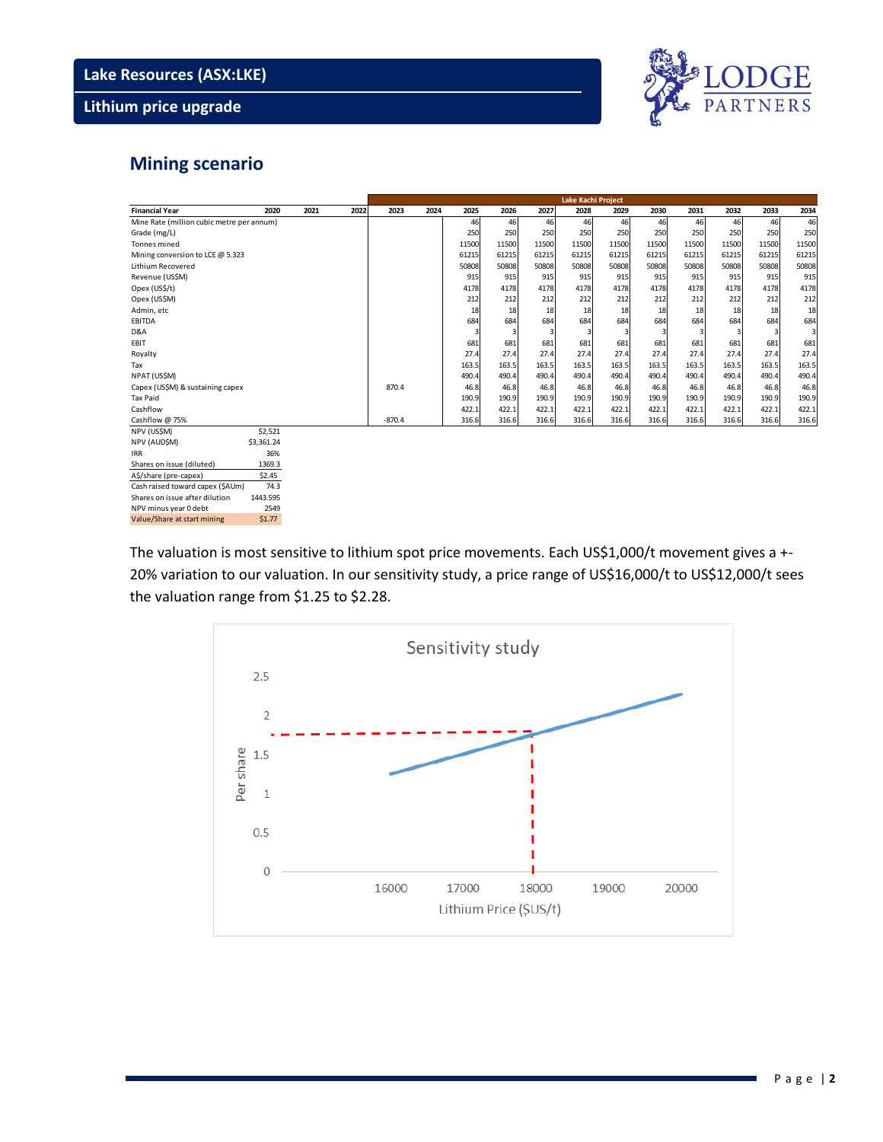# **Lithium price upgrade**



# **Mining scenario**

|                                           |            |      |      | Lake Kachi Project |      |       |       |       |       |       |       |       |       |       |                         |
|-------------------------------------------|------------|------|------|--------------------|------|-------|-------|-------|-------|-------|-------|-------|-------|-------|-------------------------|
| <b>Financial Year</b>                     | 2020       | 2021 | 2022 | 2023               | 2024 | 2025  | 2026  | 2027  | 2028  | 2029  | 2030  | 2031  | 2032  | 2033  | 2034                    |
| Mine Rate (million cubic metre per annum) |            |      |      |                    |      | 46    | 46    | 46    | 46    | 46    | 46    | 46    | 46    | 46    | 46                      |
| Grade (mg/L)                              |            |      |      |                    |      | 250   | 250   | 250   | 250   | 250   | 250   | 250   | 250   | 250   | 250                     |
| Tonnes mined                              |            |      |      |                    |      | 11500 | 11500 | 11500 | 11500 | 11500 | 11500 | 11500 | 11500 | 11500 | 11500                   |
| Mining conversion to LCE @ 5.323          |            |      |      |                    |      | 61215 | 61215 | 61215 | 61215 | 61215 | 61215 | 61215 | 61215 | 61215 | 61215                   |
| <b>Lithium Recovered</b>                  |            |      |      |                    |      | 50808 | 50808 | 50808 | 50808 | 50808 | 50808 | 50808 | 50808 | 50808 | 50808                   |
| Revenue (US\$M)                           |            |      |      |                    |      | 915   | 915   | 915   | 915   | 915   | 915   | 915   | 915   | 915   | 915                     |
| Opex (US\$/t)                             |            |      |      |                    |      | 4178  | 4178  | 4178  | 4178  | 4178  | 4178  | 4178  | 4178  | 4178  | 4178                    |
| Opex (US\$M)                              |            |      |      |                    |      | 212   | 212   | 212   | 212   | 212   | 212   | 212   | 212   | 212   | 212                     |
| Admin, etc                                |            |      |      |                    |      | 18    | 18    | 18    | 18    | 18    | 18    | 18    | 18    | 18    | 18                      |
| <b>EBITDA</b>                             |            |      |      |                    |      | 684   | 684   | 684   | 684   | 684   | 684   | 684   | 684   | 684   | 684                     |
| D&A                                       |            |      |      |                    |      |       |       |       |       |       |       |       |       | 3     | $\overline{\mathbf{3}}$ |
| EBIT                                      |            |      |      |                    |      | 681   | 681   | 681   | 681   | 681   | 681   | 681   | 681   | 681   | 681                     |
| Royalty                                   |            |      |      |                    |      | 27.4  | 27.4  | 27.4  | 27.4  | 27.4  | 27.4  | 27.4  | 27.4  | 27.4  | 27.4                    |
| Tax                                       |            |      |      |                    |      | 163.5 | 163.5 | 163.5 | 163.5 | 163.5 | 163.5 | 163.5 | 163.5 | 163.5 | 163.5                   |
| NPAT (US\$M)                              |            |      |      |                    |      | 490.4 | 490.4 | 490.4 | 490.4 | 490.4 | 490.4 | 490.4 | 490.4 | 490.4 | 490.4                   |
| Capex (US\$M) & sustaining capex          |            |      |      | 870.4              |      | 46.8  | 46.8  | 46.8  | 46.8  | 46.8  | 46.8  | 46.8  | 46.8  | 46.8  | 46.8                    |
| <b>Tax Paid</b>                           |            |      |      |                    |      | 190.9 | 190.9 | 190.9 | 190.9 | 190.9 | 190.9 | 190.9 | 190.9 | 190.9 | 190.9                   |
| Cashflow                                  |            |      |      |                    |      | 422.1 | 422.1 | 422.1 | 422.1 | 422.1 | 422.1 | 422.1 | 422.1 | 422.1 | 422.1                   |
| Cashflow @ 75%                            |            |      |      | $-870.4$           |      | 316.6 | 316.6 | 316.6 | 316.6 | 316.6 | 316.6 | 316.6 | 316.6 | 316.6 | 316.6                   |
| NPV (US\$M)                               | \$2,521    |      |      |                    |      |       |       |       |       |       |       |       |       |       |                         |
| NPV (AUD\$M)                              | \$3,361.24 |      |      |                    |      |       |       |       |       |       |       |       |       |       |                         |
| <b>IRR</b>                                | 36%        |      |      |                    |      |       |       |       |       |       |       |       |       |       |                         |
| Shares on issue (diluted)                 | 1369.3     |      |      |                    |      |       |       |       |       |       |       |       |       |       |                         |
| A\$/share (pre-capex)                     | \$2.45     |      |      |                    |      |       |       |       |       |       |       |       |       |       |                         |
| Cash raised toward capex (\$AUm)          | 74.3       |      |      |                    |      |       |       |       |       |       |       |       |       |       |                         |
| Shares on issue after dilution            | 1443.595   |      |      |                    |      |       |       |       |       |       |       |       |       |       |                         |
| NPV minus year 0 debt                     | 2549       |      |      |                    |      |       |       |       |       |       |       |       |       |       |                         |
| Value/Share at start mining               | \$1.77     |      |      |                    |      |       |       |       |       |       |       |       |       |       |                         |

The valuation is most sensitive to lithium spot price movements. Each US\$1,000/t movement gives a +-20% variation to our valuation. In our sensitivity study, a price range of US\$16,000/t to US\$12,000/t sees the valuation range from \$1.25 to \$2.28.